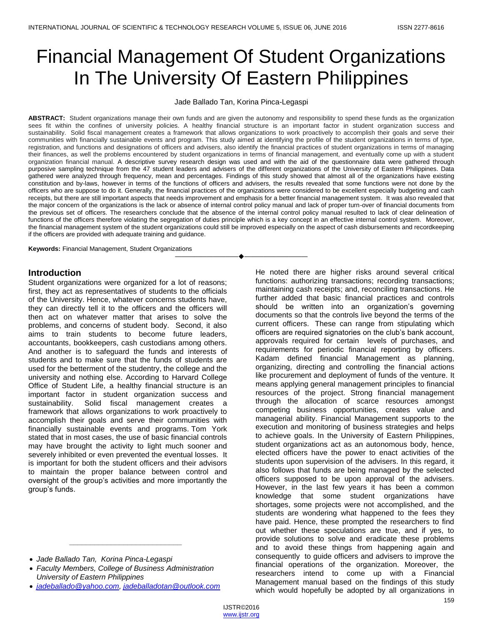# Financial Management Of Student Organizations In The University Of Eastern Philippines

Jade Ballado Tan, Korina Pinca-Legaspi

**ABSTRACT:** Student organizations manage their own funds and are given the autonomy and responsibility to spend these funds as the organization sees fit within the confines of university policies. A healthy financial structure is an important factor in student organization success and sustainability. Solid fiscal management creates a framework that allows organizations to work proactively to accomplish their goals and serve their communities with financially sustainable events and program. This study aimed at identifying the profile of the student organizations in terms of type, registration, and functions and designations of officers and advisers, also identify the financial practices of student organizations in terms of managing their finances, as well the problems encountered by student organizations in terms of financial management, and eventually come up with a student organization financial manual. A descriptive survey research design was used and with the aid of the questionnaire data were gathered through purposive sampling technique from the 47 student leaders and advisers of the different organizations of the University of Eastern Philippines. Data gathered were analyzed through frequency, mean and percentages. Findings of this study showed that almost all of the organizations have existing constitution and by-laws, however in terms of the functions of officers and advisers, the results revealed that some functions were not done by the officers who are suppose to do it. Generally, the financial practices of the organizations were considered to be excellent especially budgeting and cash receipts, but there are still important aspects that needs improvement and emphasis for a better financial management system. It was also revealed that the major concern of the organizations is the lack or absence of internal control policy manual and lack of proper turn-over of financial documents from the previous set of officers. The researchers conclude that the absence of the internal control policy manual resulted to lack of clear delineation of functions of the officers therefore violating the segregation of duties principle which is a key concept in an effective internal control system. Moreover, the financial management system of the student organizations could still be improved especially on the aspect of cash disbursements and recordkeeping if the officers are provided with adequate training and guidance.

————————————————————

**Keywords:** Financial Management, Student Organizations

# **Introduction**

Student organizations were organized for a lot of reasons; first, they act as representatives of students to the officials of the University. Hence, whatever concerns students have, they can directly tell it to the officers and the officers will then act on whatever matter that arises to solve the problems, and concerns of student body. Second, it also aims to train students to become future leaders, accountants, bookkeepers, cash custodians among others. And another is to safeguard the funds and interests of students and to make sure that the funds of students are used for the betterment of the studentry, the college and the university and nothing else. According to Harvard College Office of Student Life, a healthy financial structure is an important factor in student organization success and sustainability. Solid fiscal management creates a framework that allows organizations to work proactively to accomplish their goals and serve their communities with financially sustainable events and programs. Tom York stated that in most cases, the use of basic financial controls may have brought the activity to light much sooner and severely inhibited or even prevented the eventual losses. It is important for both the student officers and their advisors to maintain the proper balance between control and oversight of the group's activities and more importantly the group's funds.

*Jade Ballado Tan, Korina Pinca-Legaspi*

*jadeballado@yahoo.com, jadeballadotan@outlook.com*

*\_\_\_\_\_\_\_\_\_\_\_\_\_\_\_\_\_\_\_\_\_\_\_\_\_\_\_*

He noted there are higher risks around several critical functions: authorizing transactions; recording transactions; maintaining cash receipts; and, reconciling transactions. He further added that basic financial practices and controls should be written into an organization's governing documents so that the controls live beyond the terms of the current officers. These can range from stipulating which officers are required signatories on the club's bank account, approvals required for certain levels of purchases, and requirements for periodic financial reporting by officers. Kadam defined financial Management as planning, organizing, directing and controlling the financial actions like procurement and deployment of funds of the venture. It means applying general management principles to financial resources of the project. Strong financial management through the allocation of scarce resources amongst competing business opportunities, creates value and managerial ability. Financial Management supports to the execution and monitoring of business strategies and helps to achieve goals. In the University of Eastern Philippines, student organizations act as an autonomous body, hence, elected officers have the power to enact activities of the students upon supervision of the advisers. In this regard, it also follows that funds are being managed by the selected officers supposed to be upon approval of the advisers. However, in the last few years it has been a common knowledge that some student organizations have shortages, some projects were not accomplished, and the students are wondering what happened to the fees they have paid. Hence, these prompted the researchers to find out whether these speculations are true, and if yes, to provide solutions to solve and eradicate these problems and to avoid these things from happening again and consequently to guide officers and advisers to improve the financial operations of the organization. Moreover, the researchers intend to come up with a Financial Management manual based on the findings of this study which would hopefully be adopted by all organizations in

*Faculty Members, College of Business Administration University of Eastern Philippines*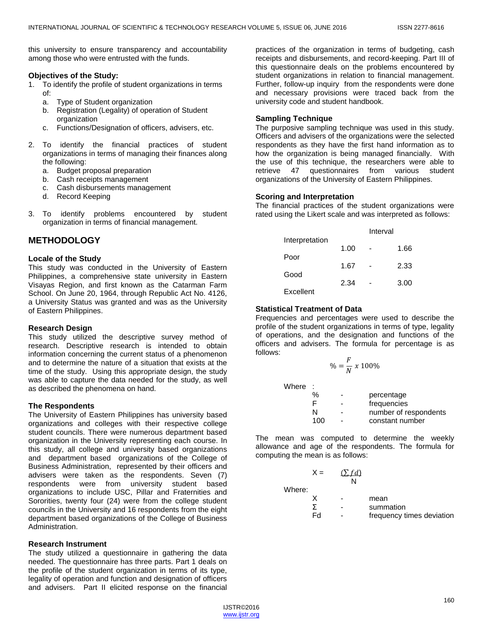this university to ensure transparency and accountability among those who were entrusted with the funds.

#### **Objectives of the Study:**

- 1. To identify the profile of student organizations in terms of:
	- a. Type of Student organization
	- b. Registration (Legality) of operation of Student organization
	- c. Functions/Designation of officers, advisers, etc.
- 2. To identify the financial practices of student organizations in terms of managing their finances along the following:
	- a. Budget proposal preparation
	- b. Cash receipts management
	- c. Cash disbursements management
	- d. Record Keeping
- 3. To identify problems encountered by student organization in terms of financial management.

# **METHODOLOGY**

#### **Locale of the Study**

This study was conducted in the University of Eastern Philippines, a comprehensive state university in Eastern Visayas Region, and first known as the Catarman Farm School. On June 20, 1964, through Republic Act No. 4126, a University Status was granted and was as the University of Eastern Philippines.

#### **Research Design**

This study utilized the descriptive survey method of research. Descriptive research is intended to obtain information concerning the current status of a phenomenon and to determine the nature of a situation that exists at the time of the study. Using this appropriate design, the study was able to capture the data needed for the study, as well as described the phenomena on hand.

## **The Respondents**

The University of Eastern Philippines has university based organizations and colleges with their respective college student councils. There were numerous department based organization in the University representing each course. In this study, all college and university based organizations and department based organizations of the College of Business Administration, represented by their officers and advisers were taken as the respondents. Seven (7) respondents were from university student based organizations to include USC, Pillar and Fraternities and Sororities, twenty four (24) were from the college student councils in the University and 16 respondents from the eight department based organizations of the College of Business Administration.

## **Research Instrument**

The study utilized a questionnaire in gathering the data needed. The questionnaire has three parts. Part 1 deals on the profile of the student organization in terms of its type, legality of operation and function and designation of officers and advisers. Part II elicited response on the financial practices of the organization in terms of budgeting, cash receipts and disbursements, and record-keeping. Part III of this questionnaire deals on the problems encountered by student organizations in relation to financial management. Further, follow-up inquiry from the respondents were done and necessary provisions were traced back from the university code and student handbook.

## **Sampling Technique**

The purposive sampling technique was used in this study. Officers and advisers of the organizations were the selected respondents as they have the first hand information as to how the organization is being managed financially. With the use of this technique, the researchers were able to retrieve 47 questionnaires from various student organizations of the University of Eastern Philippines.

## **Scoring and Interpretation**

The financial practices of the student organizations were rated using the Likert scale and was interpreted as follows:

|                | Interval |  |      |
|----------------|----------|--|------|
| Interpretation |          |  |      |
| Poor           | 1.00     |  | 1.66 |
|                | 1.67     |  | 2.33 |
| Good           |          |  |      |
| Excellent      | 2.34     |  | 3.00 |
|                |          |  |      |

## **Statistical Treatment of Data**

Frequencies and percentages were used to describe the profile of the student organizations in terms of type, legality of operations, and the designation and functions of the officers and advisers. The formula for percentage is as follows:

$$
\% = \frac{F}{N} \times 100\%
$$

Where :

| v |     |   |                       |
|---|-----|---|-----------------------|
|   | %   | - | percentage            |
|   | F   |   | frequencies           |
|   | N   |   | number of respondents |
|   | 100 |   | constant number       |
|   |     |   |                       |

The mean was computed to determine the weekly allowance and age of the respondents. The formula for computing the mean is as follows:

|        | $X =$ | $(\Sigma f d)$ |                           |
|--------|-------|----------------|---------------------------|
|        |       | N              |                           |
| Where: |       |                |                           |
|        |       |                | mean                      |
|        |       |                | summation                 |
|        | Fd    |                | frequency times deviation |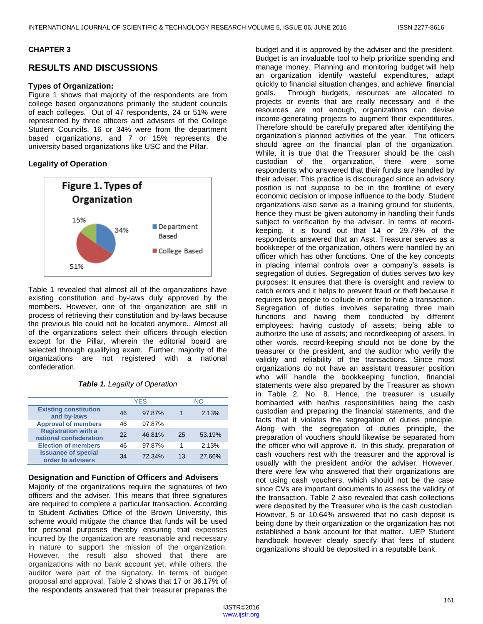## **CHAPTER 3**

# **RESULTS AND DISCUSSIONS**

## **Types of Organization:**

Figure 1 shows that majority of the respondents are from college based organizations primarily the student councils of each colleges. Out of 47 respondents, 24 or 51% were represented by three officers and advisers of the College Student Councils, 16 or 34% were from the department based organizations, and 7 or 15% represents the university based organizations like USC and the Pillar.

## **Legality of Operation**



Table 1 revealed that almost all of the organizations have existing constitution and by-laws duly approved by the members. However, one of the organization are still in process of retrieving their constitution and by-laws because the previous file could not be located anymore.. Almost all of the organizations select their officers through election except for the Pillar, wherein the editorial board are selected through qualifying exam. Further, majority of the organizations are not registered with a national confederation.

#### *Table 1. Legality of Operation*

|                                                      |    | <b>YES</b> |    | NΟ     |
|------------------------------------------------------|----|------------|----|--------|
| <b>Existing constitution</b><br>and by-laws          | 46 | 97.87%     |    | 2.13%  |
| <b>Approval of members</b>                           | 46 | 97.87%     |    |        |
| <b>Registration with a</b><br>national confederation | 22 | 46.81%     | 25 | 53.19% |
| <b>Election of members</b>                           | 46 | 97.87%     |    | 2.13%  |
| <b>Issuance of special</b><br>order to advisers      | 34 | 72.34%     | 13 | 27.66% |

## **Designation and Function of Officers and Advisers**

Majority of the organizations require the signatures of two officers and the adviser. This means that three signatures are required to complete a particular transaction. According to Student Activities Office of the Brown University, this scheme would mitigate the chance that funds will be used for personal purposes thereby ensuring that expenses incurred by the organization are reasonable and necessary in nature to support the mission of the organization. However, the result also showed that there are organizations with no bank account yet, while others, the auditor were part of the signatory. In terms of budget proposal and approval, Table 2 shows that 17 or 36.17% of the respondents answered that their treasurer prepares the

budget and it is approved by the adviser and the president. Budget is an invaluable tool to help prioritize spending and manage money. Planning and monitoring budget will help an organization identify wasteful expenditures, adapt quickly to financial situation changes, and achieve financial goals. Through budgets, resources are allocated to projects or events that are really necessary and if the resources are not enough, organizations can devise income-generating projects to augment their expenditures. Therefore should be carefully prepared after identifying the organization's planned activities of the year. The officers should agree on the financial plan of the organization. While, it is true that the Treasurer should be the cash custodian of the organization, there were some respondents who answered that their funds are handled by their adviser. This practice is discouraged since an advisory position is not suppose to be in the frontline of every economic decision or impose influence to the body. Student organizations also serve as a training ground for students, hence they must be given autonomy in handling their funds subject to verification by the adviser. In terms of recordkeeping, it is found out that 14 or 29.79% of the respondents answered that an Asst. Treasurer serves as a bookkeeper of the organization, others were handled by an officer which has other functions. One of the key concepts in placing internal controls over a company's assets is segregation of duties. Segregation of duties serves two key purposes: It ensures that there is oversight and review to catch errors and it helps to prevent fraud or theft because it requires two people to collude in order to hide a transaction. Segregation of duties involves separating three main functions and having them conducted by different employees: having custody of assets; being able to authorize the use of assets; and recordkeeping of assets. In other words, record-keeping should not be done by the treasurer or the president, and the auditor who verify the validity and reliability of the transactions. Since most organizations do not have an assistant treasurer position who will handle the bookkeeping function, financial statements were also prepared by the Treasurer as shown in Table 2, No. 8. Hence, the treasurer is usually bombarded with her/his responsibilities being the cash custodian and preparing the financial statements, and the facts that it violates the segregation of duties principle. Along with the segregation of duties principle, the preparation of vouchers should likewise be separated from the officer who will approve it. In this study, preparation of cash vouchers rest with the treasurer and the approval is usually with the president and/or the adviser. However, there were few who answered that their organizations are not using cash vouchers, which should not be the case since CVs are important documents to assess the validity of the transaction. Table 2 also revealed that cash collections were deposited by the Treasurer who is the cash custodian. However, 5 or 10.64% answered that no cash deposit is being done by their organization or the organization has not established a bank account for that matter. UEP Student handbook however clearly specify that fees of student organizations should be deposited in a reputable bank.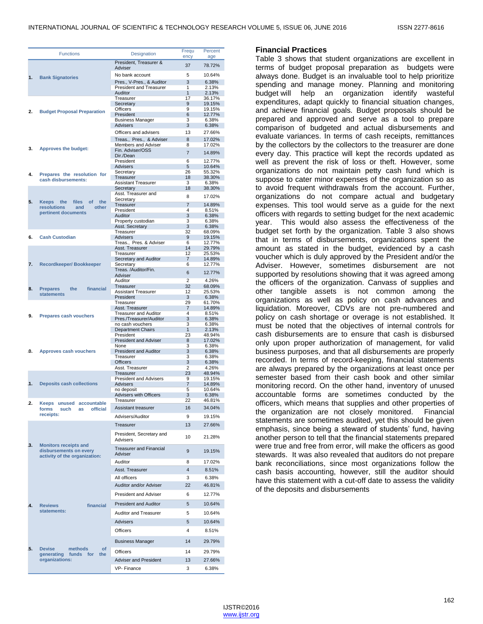|    | <b>Functions</b>                      | Designation                          | Frequ<br>ency        | Percent<br>age   |
|----|---------------------------------------|--------------------------------------|----------------------|------------------|
|    |                                       | President, Treasurer &<br>Adviser    | 37                   | 78.72%           |
| 1. |                                       | No bank account                      | 5                    | 10.64%           |
|    | <b>Bank Signatories</b>               | Pres., V-Pres., & Auditor            | 3                    | 6.38%            |
|    |                                       | <b>President and Treasurer</b>       | 1                    | 2.13%            |
|    |                                       | Auditor                              | $\mathbf{1}$         | 2.13%            |
|    |                                       | Treasurer                            | 17                   | 36.17%           |
|    |                                       | Secretary<br><b>Officers</b>         | 9<br>9               | 19.15%<br>19.15% |
| 2. | <b>Budget Proposal Preparation</b>    | President                            | 6                    | 12.77%           |
|    |                                       | <b>Business Manager</b>              | 3                    | 6.38%            |
|    |                                       | <b>Advisers</b>                      | 3                    | 6.38%            |
|    |                                       | Officers and advisers                | 13                   | 27.66%           |
|    |                                       | Treas., Pres., & Adviser             | 8                    | 17.02%           |
|    |                                       | Members and Adviser                  | 8                    | 17.02%           |
| 3. | Approves the budget:                  | Fin. Adviser/OSS                     | $\overline{7}$       | 14.89%           |
|    |                                       | Dir./Dean                            |                      |                  |
|    |                                       | President                            | 6                    | 12.77%           |
|    |                                       | <b>Advisers</b>                      | 5<br>26              | 10.64%<br>55.32% |
| 4. | Prepares the resolution for           | Secretary<br>Treasurer               | 18                   | 38.30%           |
|    | cash disbursements:                   | <b>Assistant Treasurer</b>           | 3                    | 6.38%            |
|    |                                       | Secretary                            | 18                   | 38.30%           |
|    |                                       | Asst. Treasurer and                  |                      |                  |
| 5. | files<br>of<br>the<br>Keeps<br>the    | Secretary                            | 8                    | 17.02%           |
|    | <b>resolutions</b><br>other<br>and    | Treasurer                            | $\overline{7}$       | 14.89%           |
|    | pertinent documents                   | President<br><b>Auditor</b>          | 4<br>3               | 8.51%            |
|    |                                       | Property custodian                   | 3                    | 6.38%<br>6.38%   |
|    |                                       | Asst. Secretary                      | 3                    | 6.38%            |
|    |                                       | Treasurer                            | 32                   | 68.09%           |
| 6. | <b>Cash Custodian</b>                 | Advisers                             | 9                    | 19.15%           |
|    |                                       | Treas., Pres. & Adviser              | 6                    | 12.77%           |
|    |                                       | Asst. Treasurer                      | 14                   | 29.79%           |
|    |                                       | Treasurer                            | 12                   | 25.53%           |
| 7. | <b>Recordkeeper/Bookkeeper</b>        | Secretary and Auditor<br>Secretary   | $\overline{7}$<br>6  | 14.89%<br>12.77% |
|    |                                       | Treas. /Auditor/Fin.                 |                      |                  |
|    |                                       | Adviser                              | 6                    | 12.77%           |
|    |                                       | Auditor                              | 2                    | 4.26%            |
| 8. | <b>Prepares</b><br>the<br>financial   | Treasurer                            | 32                   | 68.09%           |
|    | <b>statements</b>                     | <b>Assistant Treasurer</b>           | 12                   | 25.53%           |
|    |                                       | President                            | 3                    | 6.38%            |
|    |                                       | Treasurer<br>Asst. Treasurer         | 29<br>$\overline{7}$ | 61.70%           |
|    |                                       | <b>Treasurer and Auditor</b>         | 4                    | 14.89%<br>8.51%  |
| 9. | <b>Prepares cash vouchers</b>         | Pres./Treasurer/Auditor              | 3                    | 6.38%            |
|    |                                       | no cash vouchers                     | 3                    | 6.38%            |
|    |                                       | <b>Department Chairs</b>             | $\mathbf{1}$         | 2.13%            |
|    |                                       | President                            | 23                   | 48.94%           |
|    |                                       | <b>President and Adviser</b>         | 8                    | 17.02%           |
| 0. | Approves cash vouchers                | None<br><b>President and Auditor</b> | 3<br>3               | 6.38%<br>6.38%   |
|    |                                       | Treasurer                            | 3                    | 6.38%            |
|    |                                       | <b>Officers</b>                      | 3                    | 6.38%            |
|    |                                       | Asst. Treasurer                      | 2                    | 4.26%            |
|    |                                       | Treasurer                            | 23                   | 48.94%           |
|    |                                       | <b>President and Advisers</b>        | 9                    | 19.15%           |
| 1. | <b>Deposits cash collections</b>      | <b>Advisers</b>                      | $\overline{7}$       | 14.89%           |
|    |                                       | no deposit                           | 5<br>3               | 10.64%<br>6.38%  |
|    |                                       | Advisers with Officers<br>Treasurer  | 22                   | 46.81%           |
| 2. | Keeps unused accountable              |                                      |                      |                  |
|    | such<br>official<br>forms<br>as       | Assistant treasurer                  | 16                   | 34.04%           |
|    | receipts:                             | Advisers/Auditor                     | 9                    | 19.15%           |
|    |                                       | Treasurer                            | 13                   | 27.66%           |
|    |                                       |                                      |                      |                  |
| 3. | <b>Monitors receipts and</b>          | President, Secretary and<br>Advisers | 10                   | 21.28%           |
|    | disbursements on every                | <b>Treasurer and Financial</b>       | 9                    | 19.15%           |
|    | activity of the organization:         | Adviser                              |                      |                  |
|    |                                       | Auditor                              | 8                    | 17.02%           |
|    |                                       | Asst. Treasurer                      | $\overline{4}$       | 8.51%            |
|    |                                       | All officers                         | 3                    | 6.38%            |
|    |                                       |                                      |                      |                  |
|    |                                       | Auditor and/or Adviser               | 22                   | 46.81%           |
|    |                                       | President and Adviser                | 6                    | 12.77%           |
| 4. | financial<br><b>Reviews</b>           | <b>President and Auditor</b>         | 5                    | 10.64%           |
|    | statements:                           |                                      |                      |                  |
|    |                                       | Auditor and Treasurer                | 5                    | 10.64%           |
|    |                                       | <b>Advisers</b>                      | 5                    | 10.64%           |
|    |                                       | <b>Officers</b>                      | $\overline{4}$       | 8.51%            |
|    |                                       | <b>Business Manager</b>              | 14                   | 29.79%           |
| 5. | <b>Devise</b><br>methods<br><b>of</b> |                                      |                      |                  |
|    | generating funds for<br>the           | Officers                             | 14                   | 29.79%           |
|    | organizations:                        | Adviser and President                | 13                   | 27.66%           |
|    |                                       | VP- Finance                          | 3                    | 6.38%            |
|    |                                       |                                      |                      |                  |

## **Financial Practices**

Table 3 shows that student organizations are excellent in terms of budget proposal preparation as budgets were always done. Budget is an invaluable tool to help prioritize spending and manage money. Planning and monitoring budget will help an organization identify wasteful expenditures, adapt quickly to financial situation changes, and achieve financial goals. Budget proposals should be prepared and approved and serve as a tool to prepare comparison of budgeted and actual disbursements and evaluate variances. In terms of cash receipts, remittances by the collectors by the collectors to the treasurer are done every day. This practice will kept the records updated as well as prevent the risk of loss or theft. However, some organizations do not maintain petty cash fund which is suppose to cater minor expenses of the organization so as to avoid frequent withdrawals from the account. Further, organizations do not compare actual and budgetary expenses. This tool would serve as a guide for the next officers with regards to setting budget for the next academic year. This would also assess the effectiveness of the budget set forth by the organization. Table 3 also shows that in terms of disbursements, organizations spent the amount as stated in the budget, evidenced by a cash voucher which is duly approved by the President and/or the Adviser. However, sometimes disbursement are not supported by resolutions showing that it was agreed among the officers of the organization. Canvass of supplies and other tangible assets is not common among the organizations as well as policy on cash advances and liquidation. Moreover, CDVs are not pre-numbered and policy on cash shortage or overage is not established. It must be noted that the objectives of internal controls for cash disbursements are to ensure that cash is disbursed only upon proper authorization of management, for valid business purposes, and that all disbursements are properly recorded. In terms of record-keeping, financial statements are always prepared by the organizations at least once per semester based from their cash book and other similar monitoring record. On the other hand, inventory of unused accountable forms are sometimes conducted by the officers, which means that supplies and other properties of the organization are not closely monitored. Financial statements are sometimes audited, yet this should be given emphasis, since being a steward of students' fund, having another person to tell that the financial statements prepared were true and free from error, will make the officers as good stewards. It was also revealed that auditors do not prepare bank reconciliations, since most organizations follow the cash basis accounting, however, still the auditor should have this statement with a cut-off date to assess the validity of the deposits and disbursements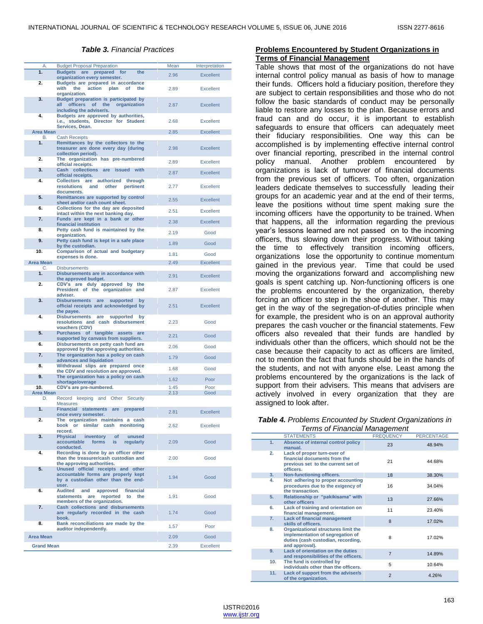#### *Table 3. Financial Practices*

| 1.<br>Budgets are prepared for<br>the<br>2.96<br><b>Excellent</b><br>organization every semester.<br>2.<br>Budgets are prepared in accordance<br>action<br>with<br>the<br>plan<br>of<br>the<br><b>Excellent</b><br>2.89<br>organization.<br>3.<br>Budget preparation is participated by<br>officers of the<br>all<br>organization<br>2.87<br>Excellent<br>including the adviser/s.<br>4.<br>Budgets are approved by authorities,<br>i.e., students, Director for Student<br>2.68<br><b>Excellent</b><br>Services, Dean.<br><b>Area Mean</b><br>2.85<br><b>Excellent</b><br>В.<br><b>Cash Receipts</b><br>1.<br>Remittances by the collectors to the<br>treasurer are done every day (during<br>2.98<br><b>Excellent</b><br>collection period).<br>2.<br>The organization has pre-numbered<br><b>Excellent</b><br>2.89<br>official receipts.<br>3.<br>Cash collections are issued with<br>2.87<br><b>Excellent</b><br>official receipts.<br>4.<br>Collectors are authorized<br>through<br><b>resolutions</b><br>and<br>other<br>2.77<br><b>Excellent</b><br>pertinent<br>documents.<br>5.<br>Remittances are supported by control<br>2.55<br><b>Excellent</b><br>sheet and/or cash count sheet.<br>6.<br>Collections for the day are deposited<br>2.51<br><b>Excellent</b><br>intact within the next banking day.<br>7.<br>Funds are kept in a bank or other<br>2.38<br><b>Excellent</b><br>financial institution<br>Petty cash fund is maintained by the<br>8.<br>Good<br>2.19<br>organization.<br>9.<br>Petty cash fund is kept in a safe place<br>1.89<br>Good<br>by the custodian.<br>10.<br>Comparison of actual and budgetary<br>1.81<br>Good<br>expenses is done.<br><b>Area Mean</b><br>2.49<br><b>Excellent</b><br><b>Disbursements</b><br>C.<br>1.<br>Disbursements are in accordance with<br>2.91<br><b>Excellent</b><br>the approved budget.<br>2.<br>CDV's are duly approved by the<br>President of the organization and<br><b>Excellent</b><br>2.87<br>adviser.<br>3.<br>Disbursements are<br>supported<br>by<br>official receipts and acknowledged by<br><b>Excellent</b><br>2.51<br>the payee.<br>4.<br>Disbursements are<br>supported<br>by<br>resolutions and cash disbursement<br>2.23<br>Good<br>vouchers (CDV)<br>5.<br>Purchases of tangible assets<br>are<br>2.21<br>Good<br>supported by canvass from suppliers.<br>6.<br>Disbursements on petty cash fund are<br>2.06<br>Good<br>approved by the approving authorities.<br>7.<br>The organization has a policy on cash<br>1.79<br>Good<br>advances and liquidation<br>8.<br>Withdrawal slips are prepared once<br>1.68<br>Good<br>the CDV and resolution are approved.<br>9.<br>The organization has a policy on cash<br>Poor<br>1.62<br>shortage/overage<br>10.<br>CDV's are pre-numbered.<br>1.45<br>Poor<br><b>Area Mean</b><br>2.13<br>Good<br>D.<br>Record keeping and Other Security<br><b>Measures</b><br>1.<br>Financial statements are<br>prepared<br>2.81<br><b>Excellent</b><br>once every semester.<br>2.<br>The organization maintains a cash<br>book or similar cash monitoring<br>2.62<br><b>Excellent</b><br>record.<br>3.<br>Physical inventory<br>of<br>unused<br>accountable forms<br>is<br>2.09<br>Good<br>regularly<br>conducted.<br>4.<br>Recording is done by an officer other<br>than the treasurer/cash custodian and<br>Good<br>2.00<br>the approving authorities.<br>5.<br>Unused official receipts and other<br>accountable forms are properly kept<br>1.94<br>Good<br>by a custodian other than the end-<br>user.<br>Audited and approved<br>6.<br>financial<br>are reported to<br>1.91<br>Good<br>statements<br>the<br>members of the organization.<br>7.<br>Cash collections and disbursements<br>are regularly recorded in the cash<br>1.74<br>Good<br>book.<br>8.<br>Bank reconciliations are made by the<br>1.57<br>Poor<br>auditor independently.<br><b>Area Mean</b><br>Good<br>2.09<br><b>Grand Mean</b><br>2.39<br><b>Excellent</b> | Α. | <b>Budget Proposal Preparation</b> | Mean | Interpretation |
|---------------------------------------------------------------------------------------------------------------------------------------------------------------------------------------------------------------------------------------------------------------------------------------------------------------------------------------------------------------------------------------------------------------------------------------------------------------------------------------------------------------------------------------------------------------------------------------------------------------------------------------------------------------------------------------------------------------------------------------------------------------------------------------------------------------------------------------------------------------------------------------------------------------------------------------------------------------------------------------------------------------------------------------------------------------------------------------------------------------------------------------------------------------------------------------------------------------------------------------------------------------------------------------------------------------------------------------------------------------------------------------------------------------------------------------------------------------------------------------------------------------------------------------------------------------------------------------------------------------------------------------------------------------------------------------------------------------------------------------------------------------------------------------------------------------------------------------------------------------------------------------------------------------------------------------------------------------------------------------------------------------------------------------------------------------------------------------------------------------------------------------------------------------------------------------------------------------------------------------------------------------------------------------------------------------------------------------------------------------------------------------------------------------------------------------------------------------------------------------------------------------------------------------------------------------------------------------------------------------------------------------------------------------------------------------------------------------------------------------------------------------------------------------------------------------------------------------------------------------------------------------------------------------------------------------------------------------------------------------------------------------------------------------------------------------------------------------------------------------------------------------------------------------------------------------------------------------------------------------------------------------------------------------------------------------------------------------------------------------------------------------------------------------------------------------------------------------------------------------------------------------------------------------------------------------------------------------------------------------------------------------------------------------------------------------------------------------------------------------------------------------------------------------------------------------------------------------------------------------------------------------------------------------------------------------------------|----|------------------------------------|------|----------------|
|                                                                                                                                                                                                                                                                                                                                                                                                                                                                                                                                                                                                                                                                                                                                                                                                                                                                                                                                                                                                                                                                                                                                                                                                                                                                                                                                                                                                                                                                                                                                                                                                                                                                                                                                                                                                                                                                                                                                                                                                                                                                                                                                                                                                                                                                                                                                                                                                                                                                                                                                                                                                                                                                                                                                                                                                                                                                                                                                                                                                                                                                                                                                                                                                                                                                                                                                                                                                                                                                                                                                                                                                                                                                                                                                                                                                                                                                                                                                                   |    |                                    |      |                |
|                                                                                                                                                                                                                                                                                                                                                                                                                                                                                                                                                                                                                                                                                                                                                                                                                                                                                                                                                                                                                                                                                                                                                                                                                                                                                                                                                                                                                                                                                                                                                                                                                                                                                                                                                                                                                                                                                                                                                                                                                                                                                                                                                                                                                                                                                                                                                                                                                                                                                                                                                                                                                                                                                                                                                                                                                                                                                                                                                                                                                                                                                                                                                                                                                                                                                                                                                                                                                                                                                                                                                                                                                                                                                                                                                                                                                                                                                                                                                   |    |                                    |      |                |
|                                                                                                                                                                                                                                                                                                                                                                                                                                                                                                                                                                                                                                                                                                                                                                                                                                                                                                                                                                                                                                                                                                                                                                                                                                                                                                                                                                                                                                                                                                                                                                                                                                                                                                                                                                                                                                                                                                                                                                                                                                                                                                                                                                                                                                                                                                                                                                                                                                                                                                                                                                                                                                                                                                                                                                                                                                                                                                                                                                                                                                                                                                                                                                                                                                                                                                                                                                                                                                                                                                                                                                                                                                                                                                                                                                                                                                                                                                                                                   |    |                                    |      |                |
|                                                                                                                                                                                                                                                                                                                                                                                                                                                                                                                                                                                                                                                                                                                                                                                                                                                                                                                                                                                                                                                                                                                                                                                                                                                                                                                                                                                                                                                                                                                                                                                                                                                                                                                                                                                                                                                                                                                                                                                                                                                                                                                                                                                                                                                                                                                                                                                                                                                                                                                                                                                                                                                                                                                                                                                                                                                                                                                                                                                                                                                                                                                                                                                                                                                                                                                                                                                                                                                                                                                                                                                                                                                                                                                                                                                                                                                                                                                                                   |    |                                    |      |                |
|                                                                                                                                                                                                                                                                                                                                                                                                                                                                                                                                                                                                                                                                                                                                                                                                                                                                                                                                                                                                                                                                                                                                                                                                                                                                                                                                                                                                                                                                                                                                                                                                                                                                                                                                                                                                                                                                                                                                                                                                                                                                                                                                                                                                                                                                                                                                                                                                                                                                                                                                                                                                                                                                                                                                                                                                                                                                                                                                                                                                                                                                                                                                                                                                                                                                                                                                                                                                                                                                                                                                                                                                                                                                                                                                                                                                                                                                                                                                                   |    |                                    |      |                |
|                                                                                                                                                                                                                                                                                                                                                                                                                                                                                                                                                                                                                                                                                                                                                                                                                                                                                                                                                                                                                                                                                                                                                                                                                                                                                                                                                                                                                                                                                                                                                                                                                                                                                                                                                                                                                                                                                                                                                                                                                                                                                                                                                                                                                                                                                                                                                                                                                                                                                                                                                                                                                                                                                                                                                                                                                                                                                                                                                                                                                                                                                                                                                                                                                                                                                                                                                                                                                                                                                                                                                                                                                                                                                                                                                                                                                                                                                                                                                   |    |                                    |      |                |
|                                                                                                                                                                                                                                                                                                                                                                                                                                                                                                                                                                                                                                                                                                                                                                                                                                                                                                                                                                                                                                                                                                                                                                                                                                                                                                                                                                                                                                                                                                                                                                                                                                                                                                                                                                                                                                                                                                                                                                                                                                                                                                                                                                                                                                                                                                                                                                                                                                                                                                                                                                                                                                                                                                                                                                                                                                                                                                                                                                                                                                                                                                                                                                                                                                                                                                                                                                                                                                                                                                                                                                                                                                                                                                                                                                                                                                                                                                                                                   |    |                                    |      |                |
|                                                                                                                                                                                                                                                                                                                                                                                                                                                                                                                                                                                                                                                                                                                                                                                                                                                                                                                                                                                                                                                                                                                                                                                                                                                                                                                                                                                                                                                                                                                                                                                                                                                                                                                                                                                                                                                                                                                                                                                                                                                                                                                                                                                                                                                                                                                                                                                                                                                                                                                                                                                                                                                                                                                                                                                                                                                                                                                                                                                                                                                                                                                                                                                                                                                                                                                                                                                                                                                                                                                                                                                                                                                                                                                                                                                                                                                                                                                                                   |    |                                    |      |                |
|                                                                                                                                                                                                                                                                                                                                                                                                                                                                                                                                                                                                                                                                                                                                                                                                                                                                                                                                                                                                                                                                                                                                                                                                                                                                                                                                                                                                                                                                                                                                                                                                                                                                                                                                                                                                                                                                                                                                                                                                                                                                                                                                                                                                                                                                                                                                                                                                                                                                                                                                                                                                                                                                                                                                                                                                                                                                                                                                                                                                                                                                                                                                                                                                                                                                                                                                                                                                                                                                                                                                                                                                                                                                                                                                                                                                                                                                                                                                                   |    |                                    |      |                |
|                                                                                                                                                                                                                                                                                                                                                                                                                                                                                                                                                                                                                                                                                                                                                                                                                                                                                                                                                                                                                                                                                                                                                                                                                                                                                                                                                                                                                                                                                                                                                                                                                                                                                                                                                                                                                                                                                                                                                                                                                                                                                                                                                                                                                                                                                                                                                                                                                                                                                                                                                                                                                                                                                                                                                                                                                                                                                                                                                                                                                                                                                                                                                                                                                                                                                                                                                                                                                                                                                                                                                                                                                                                                                                                                                                                                                                                                                                                                                   |    |                                    |      |                |
|                                                                                                                                                                                                                                                                                                                                                                                                                                                                                                                                                                                                                                                                                                                                                                                                                                                                                                                                                                                                                                                                                                                                                                                                                                                                                                                                                                                                                                                                                                                                                                                                                                                                                                                                                                                                                                                                                                                                                                                                                                                                                                                                                                                                                                                                                                                                                                                                                                                                                                                                                                                                                                                                                                                                                                                                                                                                                                                                                                                                                                                                                                                                                                                                                                                                                                                                                                                                                                                                                                                                                                                                                                                                                                                                                                                                                                                                                                                                                   |    |                                    |      |                |
|                                                                                                                                                                                                                                                                                                                                                                                                                                                                                                                                                                                                                                                                                                                                                                                                                                                                                                                                                                                                                                                                                                                                                                                                                                                                                                                                                                                                                                                                                                                                                                                                                                                                                                                                                                                                                                                                                                                                                                                                                                                                                                                                                                                                                                                                                                                                                                                                                                                                                                                                                                                                                                                                                                                                                                                                                                                                                                                                                                                                                                                                                                                                                                                                                                                                                                                                                                                                                                                                                                                                                                                                                                                                                                                                                                                                                                                                                                                                                   |    |                                    |      |                |
|                                                                                                                                                                                                                                                                                                                                                                                                                                                                                                                                                                                                                                                                                                                                                                                                                                                                                                                                                                                                                                                                                                                                                                                                                                                                                                                                                                                                                                                                                                                                                                                                                                                                                                                                                                                                                                                                                                                                                                                                                                                                                                                                                                                                                                                                                                                                                                                                                                                                                                                                                                                                                                                                                                                                                                                                                                                                                                                                                                                                                                                                                                                                                                                                                                                                                                                                                                                                                                                                                                                                                                                                                                                                                                                                                                                                                                                                                                                                                   |    |                                    |      |                |
|                                                                                                                                                                                                                                                                                                                                                                                                                                                                                                                                                                                                                                                                                                                                                                                                                                                                                                                                                                                                                                                                                                                                                                                                                                                                                                                                                                                                                                                                                                                                                                                                                                                                                                                                                                                                                                                                                                                                                                                                                                                                                                                                                                                                                                                                                                                                                                                                                                                                                                                                                                                                                                                                                                                                                                                                                                                                                                                                                                                                                                                                                                                                                                                                                                                                                                                                                                                                                                                                                                                                                                                                                                                                                                                                                                                                                                                                                                                                                   |    |                                    |      |                |
|                                                                                                                                                                                                                                                                                                                                                                                                                                                                                                                                                                                                                                                                                                                                                                                                                                                                                                                                                                                                                                                                                                                                                                                                                                                                                                                                                                                                                                                                                                                                                                                                                                                                                                                                                                                                                                                                                                                                                                                                                                                                                                                                                                                                                                                                                                                                                                                                                                                                                                                                                                                                                                                                                                                                                                                                                                                                                                                                                                                                                                                                                                                                                                                                                                                                                                                                                                                                                                                                                                                                                                                                                                                                                                                                                                                                                                                                                                                                                   |    |                                    |      |                |
|                                                                                                                                                                                                                                                                                                                                                                                                                                                                                                                                                                                                                                                                                                                                                                                                                                                                                                                                                                                                                                                                                                                                                                                                                                                                                                                                                                                                                                                                                                                                                                                                                                                                                                                                                                                                                                                                                                                                                                                                                                                                                                                                                                                                                                                                                                                                                                                                                                                                                                                                                                                                                                                                                                                                                                                                                                                                                                                                                                                                                                                                                                                                                                                                                                                                                                                                                                                                                                                                                                                                                                                                                                                                                                                                                                                                                                                                                                                                                   |    |                                    |      |                |
|                                                                                                                                                                                                                                                                                                                                                                                                                                                                                                                                                                                                                                                                                                                                                                                                                                                                                                                                                                                                                                                                                                                                                                                                                                                                                                                                                                                                                                                                                                                                                                                                                                                                                                                                                                                                                                                                                                                                                                                                                                                                                                                                                                                                                                                                                                                                                                                                                                                                                                                                                                                                                                                                                                                                                                                                                                                                                                                                                                                                                                                                                                                                                                                                                                                                                                                                                                                                                                                                                                                                                                                                                                                                                                                                                                                                                                                                                                                                                   |    |                                    |      |                |
|                                                                                                                                                                                                                                                                                                                                                                                                                                                                                                                                                                                                                                                                                                                                                                                                                                                                                                                                                                                                                                                                                                                                                                                                                                                                                                                                                                                                                                                                                                                                                                                                                                                                                                                                                                                                                                                                                                                                                                                                                                                                                                                                                                                                                                                                                                                                                                                                                                                                                                                                                                                                                                                                                                                                                                                                                                                                                                                                                                                                                                                                                                                                                                                                                                                                                                                                                                                                                                                                                                                                                                                                                                                                                                                                                                                                                                                                                                                                                   |    |                                    |      |                |
|                                                                                                                                                                                                                                                                                                                                                                                                                                                                                                                                                                                                                                                                                                                                                                                                                                                                                                                                                                                                                                                                                                                                                                                                                                                                                                                                                                                                                                                                                                                                                                                                                                                                                                                                                                                                                                                                                                                                                                                                                                                                                                                                                                                                                                                                                                                                                                                                                                                                                                                                                                                                                                                                                                                                                                                                                                                                                                                                                                                                                                                                                                                                                                                                                                                                                                                                                                                                                                                                                                                                                                                                                                                                                                                                                                                                                                                                                                                                                   |    |                                    |      |                |
|                                                                                                                                                                                                                                                                                                                                                                                                                                                                                                                                                                                                                                                                                                                                                                                                                                                                                                                                                                                                                                                                                                                                                                                                                                                                                                                                                                                                                                                                                                                                                                                                                                                                                                                                                                                                                                                                                                                                                                                                                                                                                                                                                                                                                                                                                                                                                                                                                                                                                                                                                                                                                                                                                                                                                                                                                                                                                                                                                                                                                                                                                                                                                                                                                                                                                                                                                                                                                                                                                                                                                                                                                                                                                                                                                                                                                                                                                                                                                   |    |                                    |      |                |
|                                                                                                                                                                                                                                                                                                                                                                                                                                                                                                                                                                                                                                                                                                                                                                                                                                                                                                                                                                                                                                                                                                                                                                                                                                                                                                                                                                                                                                                                                                                                                                                                                                                                                                                                                                                                                                                                                                                                                                                                                                                                                                                                                                                                                                                                                                                                                                                                                                                                                                                                                                                                                                                                                                                                                                                                                                                                                                                                                                                                                                                                                                                                                                                                                                                                                                                                                                                                                                                                                                                                                                                                                                                                                                                                                                                                                                                                                                                                                   |    |                                    |      |                |
|                                                                                                                                                                                                                                                                                                                                                                                                                                                                                                                                                                                                                                                                                                                                                                                                                                                                                                                                                                                                                                                                                                                                                                                                                                                                                                                                                                                                                                                                                                                                                                                                                                                                                                                                                                                                                                                                                                                                                                                                                                                                                                                                                                                                                                                                                                                                                                                                                                                                                                                                                                                                                                                                                                                                                                                                                                                                                                                                                                                                                                                                                                                                                                                                                                                                                                                                                                                                                                                                                                                                                                                                                                                                                                                                                                                                                                                                                                                                                   |    |                                    |      |                |
|                                                                                                                                                                                                                                                                                                                                                                                                                                                                                                                                                                                                                                                                                                                                                                                                                                                                                                                                                                                                                                                                                                                                                                                                                                                                                                                                                                                                                                                                                                                                                                                                                                                                                                                                                                                                                                                                                                                                                                                                                                                                                                                                                                                                                                                                                                                                                                                                                                                                                                                                                                                                                                                                                                                                                                                                                                                                                                                                                                                                                                                                                                                                                                                                                                                                                                                                                                                                                                                                                                                                                                                                                                                                                                                                                                                                                                                                                                                                                   |    |                                    |      |                |
|                                                                                                                                                                                                                                                                                                                                                                                                                                                                                                                                                                                                                                                                                                                                                                                                                                                                                                                                                                                                                                                                                                                                                                                                                                                                                                                                                                                                                                                                                                                                                                                                                                                                                                                                                                                                                                                                                                                                                                                                                                                                                                                                                                                                                                                                                                                                                                                                                                                                                                                                                                                                                                                                                                                                                                                                                                                                                                                                                                                                                                                                                                                                                                                                                                                                                                                                                                                                                                                                                                                                                                                                                                                                                                                                                                                                                                                                                                                                                   |    |                                    |      |                |
|                                                                                                                                                                                                                                                                                                                                                                                                                                                                                                                                                                                                                                                                                                                                                                                                                                                                                                                                                                                                                                                                                                                                                                                                                                                                                                                                                                                                                                                                                                                                                                                                                                                                                                                                                                                                                                                                                                                                                                                                                                                                                                                                                                                                                                                                                                                                                                                                                                                                                                                                                                                                                                                                                                                                                                                                                                                                                                                                                                                                                                                                                                                                                                                                                                                                                                                                                                                                                                                                                                                                                                                                                                                                                                                                                                                                                                                                                                                                                   |    |                                    |      |                |
|                                                                                                                                                                                                                                                                                                                                                                                                                                                                                                                                                                                                                                                                                                                                                                                                                                                                                                                                                                                                                                                                                                                                                                                                                                                                                                                                                                                                                                                                                                                                                                                                                                                                                                                                                                                                                                                                                                                                                                                                                                                                                                                                                                                                                                                                                                                                                                                                                                                                                                                                                                                                                                                                                                                                                                                                                                                                                                                                                                                                                                                                                                                                                                                                                                                                                                                                                                                                                                                                                                                                                                                                                                                                                                                                                                                                                                                                                                                                                   |    |                                    |      |                |
|                                                                                                                                                                                                                                                                                                                                                                                                                                                                                                                                                                                                                                                                                                                                                                                                                                                                                                                                                                                                                                                                                                                                                                                                                                                                                                                                                                                                                                                                                                                                                                                                                                                                                                                                                                                                                                                                                                                                                                                                                                                                                                                                                                                                                                                                                                                                                                                                                                                                                                                                                                                                                                                                                                                                                                                                                                                                                                                                                                                                                                                                                                                                                                                                                                                                                                                                                                                                                                                                                                                                                                                                                                                                                                                                                                                                                                                                                                                                                   |    |                                    |      |                |
|                                                                                                                                                                                                                                                                                                                                                                                                                                                                                                                                                                                                                                                                                                                                                                                                                                                                                                                                                                                                                                                                                                                                                                                                                                                                                                                                                                                                                                                                                                                                                                                                                                                                                                                                                                                                                                                                                                                                                                                                                                                                                                                                                                                                                                                                                                                                                                                                                                                                                                                                                                                                                                                                                                                                                                                                                                                                                                                                                                                                                                                                                                                                                                                                                                                                                                                                                                                                                                                                                                                                                                                                                                                                                                                                                                                                                                                                                                                                                   |    |                                    |      |                |
|                                                                                                                                                                                                                                                                                                                                                                                                                                                                                                                                                                                                                                                                                                                                                                                                                                                                                                                                                                                                                                                                                                                                                                                                                                                                                                                                                                                                                                                                                                                                                                                                                                                                                                                                                                                                                                                                                                                                                                                                                                                                                                                                                                                                                                                                                                                                                                                                                                                                                                                                                                                                                                                                                                                                                                                                                                                                                                                                                                                                                                                                                                                                                                                                                                                                                                                                                                                                                                                                                                                                                                                                                                                                                                                                                                                                                                                                                                                                                   |    |                                    |      |                |
|                                                                                                                                                                                                                                                                                                                                                                                                                                                                                                                                                                                                                                                                                                                                                                                                                                                                                                                                                                                                                                                                                                                                                                                                                                                                                                                                                                                                                                                                                                                                                                                                                                                                                                                                                                                                                                                                                                                                                                                                                                                                                                                                                                                                                                                                                                                                                                                                                                                                                                                                                                                                                                                                                                                                                                                                                                                                                                                                                                                                                                                                                                                                                                                                                                                                                                                                                                                                                                                                                                                                                                                                                                                                                                                                                                                                                                                                                                                                                   |    |                                    |      |                |
|                                                                                                                                                                                                                                                                                                                                                                                                                                                                                                                                                                                                                                                                                                                                                                                                                                                                                                                                                                                                                                                                                                                                                                                                                                                                                                                                                                                                                                                                                                                                                                                                                                                                                                                                                                                                                                                                                                                                                                                                                                                                                                                                                                                                                                                                                                                                                                                                                                                                                                                                                                                                                                                                                                                                                                                                                                                                                                                                                                                                                                                                                                                                                                                                                                                                                                                                                                                                                                                                                                                                                                                                                                                                                                                                                                                                                                                                                                                                                   |    |                                    |      |                |
|                                                                                                                                                                                                                                                                                                                                                                                                                                                                                                                                                                                                                                                                                                                                                                                                                                                                                                                                                                                                                                                                                                                                                                                                                                                                                                                                                                                                                                                                                                                                                                                                                                                                                                                                                                                                                                                                                                                                                                                                                                                                                                                                                                                                                                                                                                                                                                                                                                                                                                                                                                                                                                                                                                                                                                                                                                                                                                                                                                                                                                                                                                                                                                                                                                                                                                                                                                                                                                                                                                                                                                                                                                                                                                                                                                                                                                                                                                                                                   |    |                                    |      |                |
|                                                                                                                                                                                                                                                                                                                                                                                                                                                                                                                                                                                                                                                                                                                                                                                                                                                                                                                                                                                                                                                                                                                                                                                                                                                                                                                                                                                                                                                                                                                                                                                                                                                                                                                                                                                                                                                                                                                                                                                                                                                                                                                                                                                                                                                                                                                                                                                                                                                                                                                                                                                                                                                                                                                                                                                                                                                                                                                                                                                                                                                                                                                                                                                                                                                                                                                                                                                                                                                                                                                                                                                                                                                                                                                                                                                                                                                                                                                                                   |    |                                    |      |                |
|                                                                                                                                                                                                                                                                                                                                                                                                                                                                                                                                                                                                                                                                                                                                                                                                                                                                                                                                                                                                                                                                                                                                                                                                                                                                                                                                                                                                                                                                                                                                                                                                                                                                                                                                                                                                                                                                                                                                                                                                                                                                                                                                                                                                                                                                                                                                                                                                                                                                                                                                                                                                                                                                                                                                                                                                                                                                                                                                                                                                                                                                                                                                                                                                                                                                                                                                                                                                                                                                                                                                                                                                                                                                                                                                                                                                                                                                                                                                                   |    |                                    |      |                |
|                                                                                                                                                                                                                                                                                                                                                                                                                                                                                                                                                                                                                                                                                                                                                                                                                                                                                                                                                                                                                                                                                                                                                                                                                                                                                                                                                                                                                                                                                                                                                                                                                                                                                                                                                                                                                                                                                                                                                                                                                                                                                                                                                                                                                                                                                                                                                                                                                                                                                                                                                                                                                                                                                                                                                                                                                                                                                                                                                                                                                                                                                                                                                                                                                                                                                                                                                                                                                                                                                                                                                                                                                                                                                                                                                                                                                                                                                                                                                   |    |                                    |      |                |
|                                                                                                                                                                                                                                                                                                                                                                                                                                                                                                                                                                                                                                                                                                                                                                                                                                                                                                                                                                                                                                                                                                                                                                                                                                                                                                                                                                                                                                                                                                                                                                                                                                                                                                                                                                                                                                                                                                                                                                                                                                                                                                                                                                                                                                                                                                                                                                                                                                                                                                                                                                                                                                                                                                                                                                                                                                                                                                                                                                                                                                                                                                                                                                                                                                                                                                                                                                                                                                                                                                                                                                                                                                                                                                                                                                                                                                                                                                                                                   |    |                                    |      |                |
|                                                                                                                                                                                                                                                                                                                                                                                                                                                                                                                                                                                                                                                                                                                                                                                                                                                                                                                                                                                                                                                                                                                                                                                                                                                                                                                                                                                                                                                                                                                                                                                                                                                                                                                                                                                                                                                                                                                                                                                                                                                                                                                                                                                                                                                                                                                                                                                                                                                                                                                                                                                                                                                                                                                                                                                                                                                                                                                                                                                                                                                                                                                                                                                                                                                                                                                                                                                                                                                                                                                                                                                                                                                                                                                                                                                                                                                                                                                                                   |    |                                    |      |                |
|                                                                                                                                                                                                                                                                                                                                                                                                                                                                                                                                                                                                                                                                                                                                                                                                                                                                                                                                                                                                                                                                                                                                                                                                                                                                                                                                                                                                                                                                                                                                                                                                                                                                                                                                                                                                                                                                                                                                                                                                                                                                                                                                                                                                                                                                                                                                                                                                                                                                                                                                                                                                                                                                                                                                                                                                                                                                                                                                                                                                                                                                                                                                                                                                                                                                                                                                                                                                                                                                                                                                                                                                                                                                                                                                                                                                                                                                                                                                                   |    |                                    |      |                |
|                                                                                                                                                                                                                                                                                                                                                                                                                                                                                                                                                                                                                                                                                                                                                                                                                                                                                                                                                                                                                                                                                                                                                                                                                                                                                                                                                                                                                                                                                                                                                                                                                                                                                                                                                                                                                                                                                                                                                                                                                                                                                                                                                                                                                                                                                                                                                                                                                                                                                                                                                                                                                                                                                                                                                                                                                                                                                                                                                                                                                                                                                                                                                                                                                                                                                                                                                                                                                                                                                                                                                                                                                                                                                                                                                                                                                                                                                                                                                   |    |                                    |      |                |
|                                                                                                                                                                                                                                                                                                                                                                                                                                                                                                                                                                                                                                                                                                                                                                                                                                                                                                                                                                                                                                                                                                                                                                                                                                                                                                                                                                                                                                                                                                                                                                                                                                                                                                                                                                                                                                                                                                                                                                                                                                                                                                                                                                                                                                                                                                                                                                                                                                                                                                                                                                                                                                                                                                                                                                                                                                                                                                                                                                                                                                                                                                                                                                                                                                                                                                                                                                                                                                                                                                                                                                                                                                                                                                                                                                                                                                                                                                                                                   |    |                                    |      |                |

## **Problems Encountered by Student Organizations in Terms of Financial Management**

Table shows that most of the organizations do not have internal control policy manual as basis of how to manage their funds. Officers hold a fiduciary position, therefore they are subject to certain responsibilities and those who do not follow the basic standards of conduct may be personally liable to restore any losses to the plan. Because errors and fraud can and do occur, it is important to establish safeguards to ensure that officers can adequately meet their fiduciary responsibilities. One way this can be accomplished is by implementing effective internal control over financial reporting, prescribed in the internal control policy manual. Another problem encountered by organizations is lack of turnover of financial documents from the previous set of officers. Too often, organization leaders dedicate themselves to successfully leading their groups for an academic year and at the end of their terms, leave the positions without time spent making sure the incoming officers have the opportunity to be trained. When that happens, all the information regarding the previous year's lessons learned are not passed on to the incoming officers, thus slowing down their progress. Without taking the time to effectively transition incoming officers, organizations lose the opportunity to continue momentum gained in the previous year. Time that could be used moving the organizations forward and accomplishing new goals is spent catching up. Non-functioning officers is one the problems encountered by the organization, thereby forcing an officer to step in the shoe of another. This may get in the way of the segregation-of-duties principle when for example, the president who is on an approval authority prepares the cash voucher or the financial statements. Few officers also revealed that their funds are handled by individuals other than the officers, which should not be the case because their capacity to act as officers are limited, not to mention the fact that funds should be in the hands of the students, and not with anyone else. Least among the problems encountered by the organizations is the lack of support from their advisers. This means that advisers are actively involved in every organization that they are assigned to look after.

#### *Table 4. Problems Encounted by Student Organizations in Terms of Financial Management*

|     | <b>STATEMENTS</b>                                                                                                               | <b>FREQUENCY</b> | <b>PERCENTAGE</b> |
|-----|---------------------------------------------------------------------------------------------------------------------------------|------------------|-------------------|
| 1.  | Absence of internal control policy<br>manual.                                                                                   | 23               | 48.94%            |
| 2.  | Lack of proper turn-over of<br>financial documents from the<br>previous set to the current set of<br>officers.                  | 21               | 44.68%            |
| 3.  | Non-functioning officers.                                                                                                       | 18               | 38.30%            |
| 4.  | Not adhering to proper accounting<br>procedures due to the exigency of<br>the transaction.                                      | 16               | 34.04%            |
| 5.  | Relationship or "pakikisama" with<br>other officers                                                                             | 13               | 27.66%            |
| 6.  | Lack of training and orientation on<br>financial management.                                                                    | 11               | 23.40%            |
| 7.  | <b>Lack of financial management</b><br>skills of officers.                                                                      | 8                | 17.02%            |
| 8.  | Organizational structures limit the<br>implementation of segregation of<br>duties (cash custodian, recording,<br>and approval). | 8                | 17.02%            |
| 9.  | Lack of orientation on the duties<br>and responsibilities of the officers.                                                      | $\overline{7}$   | 14.89%            |
| 10. | The fund is controlled by<br>individuals other than the officers.                                                               | 5                | 10.64%            |
| 11. | Lack of support from the adviser/s<br>of the organization.                                                                      | $\overline{2}$   | 4.26%             |